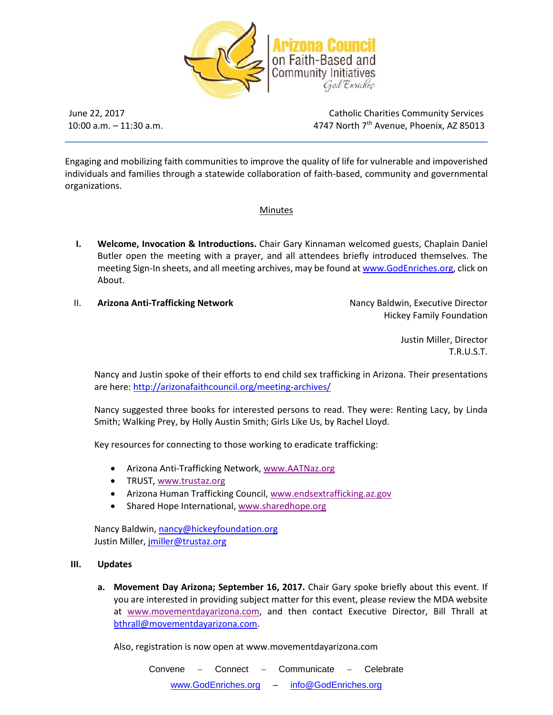

 $10:00$  a.m.  $-11:30$  a.m.

June 22, 2017 Catholic Charities Community Services 4747 North 7<sup>th</sup> Avenue, Phoenix, AZ 85013

Engaging and mobilizing faith communities to improve the quality of life for vulnerable and impoverished individuals and families through a statewide collaboration of faith-based, community and governmental organizations.

## Minutes

- **I. Welcome, Invocation & Introductions.** Chair Gary Kinnaman welcomed guests, Chaplain Daniel Butler open the meeting with a prayer, and all attendees briefly introduced themselves. The meeting Sign-In sheets, and all meeting archives, may be found a[t www.GodEnriches.org,](http://www.godenriches.org/) click on About.
- **II. Arizona Anti-Trafficking Network Nancy Baldwin, Executive Director Nancy Baldwin, Executive Director**

Hickey Family Foundation

Justin Miller, Director T.R.U.S.T.

Nancy and Justin spoke of their efforts to end child sex trafficking in Arizona. Their presentations are here[: http://arizonafaithcouncil.org/meeting-archives/](http://arizonafaithcouncil.org/meeting-archives/)

Nancy suggested three books for interested persons to read. They were: Renting Lacy, by Linda Smith; Walking Prey, by Holly Austin Smith; Girls Like Us, by Rachel Lloyd.

Key resources for connecting to those working to eradicate trafficking:

- Arizona Anti-Trafficking Network, [www.AATNaz.org](http://www.aatnaz.org/)
- TRUST[, www.trustaz.org](http://www.trustaz.org/)
- Arizona Human Trafficking Council, [www.endsextrafficking.az.gov](http://www.endsextrafficking.az.gov/)
- Shared Hope International, [www.sharedhope.org](http://www.sharedhope.org/)

Nancy Baldwin[, nancy@hickeyfoundation.org](mailto:nancy@hickeyfoundation.org) Justin Miller, [jmiller@trustaz.org](mailto:jmiller@trustaz.org)

## **III. Updates**

**a. Movement Day Arizona; September 16, 2017.** Chair Gary spoke briefly about this event. If you are interested in providing subject matter for this event, please review the MDA website at [www.movementdayarizona.com,](http://www.movementdayarizona.com/) and then contact Executive Director, Bill Thrall at [bthrall@movementdayarizona.com.](mailto:bthrall@movementdayarizona.com)

Also, registration is now open at www.movementdayarizona.com